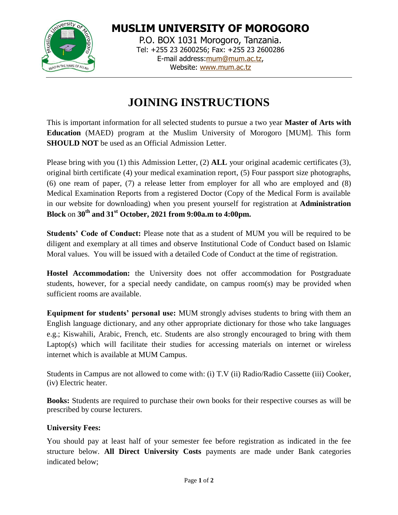

**MUSLIM UNIVERSITY OF MOROGORO** P.O. BOX 1031 Morogoro, Tanzania. Tel: +255 23 2600256; Fax: +255 23 2600286 E-mail address[:mum@mum.ac.tz,](mailto:mum@mum.ac.tz)

Website: [www.mum.ac.tz](http://www.mum.ac.tz/)

# **JOINING INSTRUCTIONS**

This is important information for all selected students to pursue a two year **Master of Arts with Education** (MAED) program at the Muslim University of Morogoro [MUM]. This form **SHOULD NOT** be used as an Official Admission Letter.

Please bring with you (1) this Admission Letter, (2) **ALL** your original academic certificates (3), original birth certificate (4) your medical examination report, (5) Four passport size photographs, (6) one ream of paper, (7) a release letter from employer for all who are employed and (8) Medical Examination Reports from a registered Doctor (Copy of the Medical Form is available in our website for downloading) when you present yourself for registration at **Administration Block** on **30th and 31st October, 2021 from 9:00a.m to 4:00pm.**

**Students' Code of Conduct:** Please note that as a student of MUM you will be required to be diligent and exemplary at all times and observe Institutional Code of Conduct based on Islamic Moral values. You will be issued with a detailed Code of Conduct at the time of registration.

**Hostel Accommodation:** the University does not offer accommodation for Postgraduate students, however, for a special needy candidate, on campus room(s) may be provided when sufficient rooms are available.

**Equipment for students' personal use:** MUM strongly advises students to bring with them an English language dictionary, and any other appropriate dictionary for those who take languages e.g.; Kiswahili, Arabic, French, etc. Students are also strongly encouraged to bring with them Laptop(s) which will facilitate their studies for accessing materials on internet or wireless internet which is available at MUM Campus.

Students in Campus are not allowed to come with: (i) T.V (ii) Radio/Radio Cassette (iii) Cooker, (iv) Electric heater.

**Books:** Students are required to purchase their own books for their respective courses as will be prescribed by course lecturers.

### **University Fees:**

You should pay at least half of your semester fee before registration as indicated in the fee structure below. **All Direct University Costs** payments are made under Bank categories indicated below;